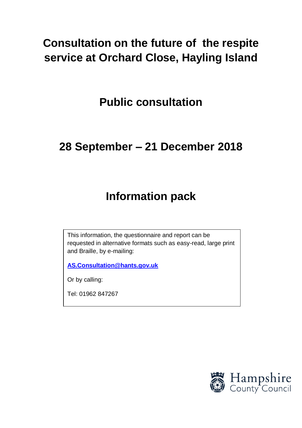# **Consultation on the future of the respite service at Orchard Close, Hayling Island**

**Public consultation**

# **28 September – 21 December 2018**

# **Information pack**

This information, the questionnaire and report can be requested in alternative formats such as easy-read, large print and Braille, by e-mailing:

**[AS.Consultation@hants.gov.uk](mailto:AS.Consultation@hants.gov.uk)**

Or by calling:

Tel: 01962 847267

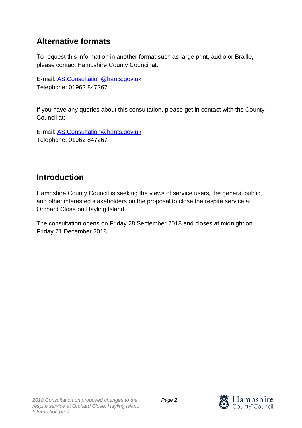## **Alternative formats**

To request this information in another format such as large print, audio or Braille, please contact Hampshire County Council at:

E-mail: [AS.Consultation@hants.gov.uk](mailto:AS.Consultation@hants.gov.uk) Telephone: 01962 847267

If you have any queries about this consultation, please get in contact with the County Council at:

E-mail: [AS.Consultation@hants.gov.uk](mailto:AS.Consultation@hants.gov.uk) Telephone: 01962 847267

### **Introduction**

Hampshire County Council is seeking the views of service users, the general public, and other interested stakeholders on the proposal to close the respite service at Orchard Close on Hayling Island.

The consultation opens on Friday 28 September 2018 and closes at midnight on Friday 21 December 2018

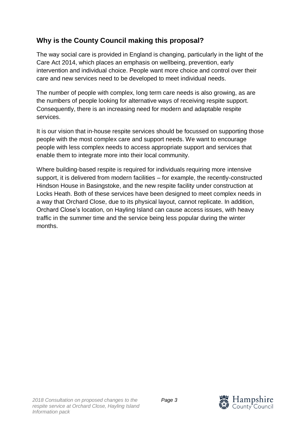#### **Why is the County Council making this proposal?**

The way social care is provided in England is changing, particularly in the light of the Care Act 2014, which places an emphasis on wellbeing, prevention, early intervention and individual choice. People want more choice and control over their care and new services need to be developed to meet individual needs.

The number of people with complex, long term care needs is also growing, as are the numbers of people looking for alternative ways of receiving respite support. Consequently, there is an increasing need for modern and adaptable respite services.

It is our vision that in-house respite services should be focussed on supporting those people with the most complex care and support needs. We want to encourage people with less complex needs to access appropriate support and services that enable them to integrate more into their local community.

Where building-based respite is required for individuals requiring more intensive support, it is delivered from modern facilities – for example, the recently-constructed Hindson House in Basingstoke, and the new respite facility under construction at Locks Heath. Both of these services have been designed to meet complex needs in a way that Orchard Close, due to its physical layout, cannot replicate. In addition, Orchard Close's location, on Hayling Island can cause access issues, with heavy traffic in the summer time and the service being less popular during the winter months.

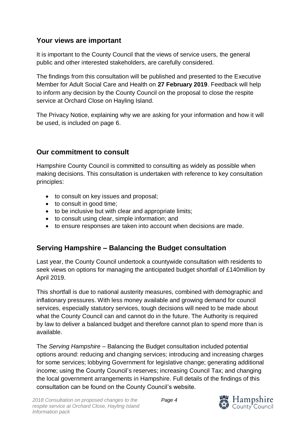#### **Your views are important**

It is important to the County Council that the views of service users, the general public and other interested stakeholders, are carefully considered.

The findings from this consultation will be published and presented to the Executive Member for Adult Social Care and Health on **27 February 2019**. Feedback will help to inform any decision by the County Council on the proposal to close the respite service at Orchard Close on Hayling Island.

The Privacy Notice, explaining why we are asking for your information and how it will be used, is included on page 6.

#### **Our commitment to consult**

Hampshire County Council is committed to consulting as widely as possible when making decisions. This consultation is undertaken with reference to key consultation principles:

- to consult on key issues and proposal;
- to consult in good time;
- to be inclusive but with clear and appropriate limits;
- to consult using clear, simple information; and
- to ensure responses are taken into account when decisions are made.

#### **Serving Hampshire – Balancing the Budget consultation**

Last year, the County Council undertook a countywide consultation with residents to seek views on options for managing the anticipated budget shortfall of £140million by April 2019.

This shortfall is due to national austerity measures, combined with demographic and inflationary pressures. With less money available and growing demand for council services, especially statutory services, tough decisions will need to be made about what the County Council can and cannot do in the future. The Authority is required by law to deliver a balanced budget and therefore cannot plan to spend more than is available.

The *Serving Hampshire* – Balancing the Budget consultation included potential options around: reducing and changing services; introducing and increasing charges for some services; lobbying Government for legislative change; generating additional income; using the County Council's reserves; increasing Council Tax; and changing the local government arrangements in Hampshire. Full details of the findings of this consultation can be found on the County Council's website.

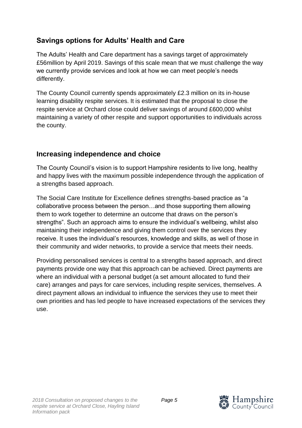#### **Savings options for Adults' Health and Care**

The Adults' Health and Care department has a savings target of approximately £56million by April 2019. Savings of this scale mean that we must challenge the way we currently provide services and look at how we can meet people's needs differently.

The County Council currently spends approximately £2.3 million on its in-house learning disability respite services. It is estimated that the proposal to close the respite service at Orchard close could deliver savings of around £600,000 whilst maintaining a variety of other respite and support opportunities to individuals across the county.

#### **Increasing independence and choice**

The County Council's vision is to support Hampshire residents to live long, healthy and happy lives with the maximum possible independence through the application of a strengths based approach.

The Social Care Institute for Excellence defines strengths-based practice as "a collaborative process between the person…and those supporting them allowing them to work together to determine an outcome that draws on the person's strengths". Such an approach aims to ensure the individual's wellbeing, whilst also maintaining their independence and giving them control over the services they receive. It uses the individual's resources, knowledge and skills, as well of those in their community and wider networks, to provide a service that meets their needs.

Providing personalised services is central to a strengths based approach, and direct payments provide one way that this approach can be achieved. Direct payments are where an individual with a personal budget (a set amount allocated to fund their care) arranges and pays for care services, including respite services, themselves. A direct payment allows an individual to influence the services they use to meet their own priorities and has led people to have increased expectations of the services they use.

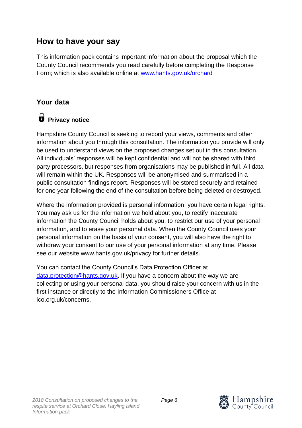### **How to have your say**

This information pack contains important information about the proposal which the County Council recommends you read carefully before completing the Response Form; which is also available online at [www.hants.gov.uk/orchard](http://www.hants.gov.uk/orchard)

#### **Your data**

# **Privacy notice**

Hampshire County Council is seeking to record your views, comments and other information about you through this consultation. The information you provide will only be used to understand views on the proposed changes set out in this consultation. All individuals' responses will be kept confidential and will not be shared with third party processors, but responses from organisations may be published in full. All data will remain within the UK. Responses will be anonymised and summarised in a public consultation findings report. Responses will be stored securely and retained for one year following the end of the consultation before being deleted or destroyed.

Where the information provided is personal information, you have certain legal rights. You may ask us for the information we hold about you, to rectify inaccurate information the County Council holds about you, to restrict our use of your personal information, and to erase your personal data. When the County Council uses your personal information on the basis of your consent, you will also have the right to withdraw your consent to our use of your personal information at any time. Please see our website www.hants.gov.uk/privacy for further details.

You can contact the County Council's Data Protection Officer at [data.protection@hants.gov.uk.](mailto:data.protection@hants.gov.uk) If you have a concern about the way we are collecting or using your personal data, you should raise your concern with us in the first instance or directly to the Information Commissioners Office at ico.org.uk/concerns.

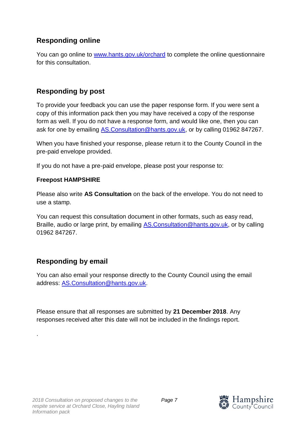#### **Responding online**

You can go online to [www.hants.gov.uk/orchard](http://www.hants.gov.uk/orchard) to complete the online questionnaire for this consultation.

#### **Responding by post**

To provide your feedback you can use the paper response form. If you were sent a copy of this information pack then you may have received a copy of the response form as well. If you do not have a response form, and would like one, then you can ask for one by emailing [AS.Consultation@hants.gov.uk,](mailto:AS.Consultation@hants.gov.uk) or by calling 01962 847267.

When you have finished your response, please return it to the County Council in the pre-paid envelope provided.

If you do not have a pre-paid envelope, please post your response to:

#### **Freepost HAMPSHIRE**

Please also write **AS Consultation** on the back of the envelope. You do not need to use a stamp.

You can request this consultation document in other formats, such as easy read, Braille, audio or large print, by emailing **AS.Consultation@hants.gov.uk**, or by calling 01962 847267.

#### **Responding by email**

.

You can also email your response directly to the County Council using the email address: [AS.Consultation@hants.gov.uk.](mailto:AS.Consultation@hants.gov.uk)

Please ensure that all responses are submitted by **21 December 2018**. Any responses received after this date will not be included in the findings report.

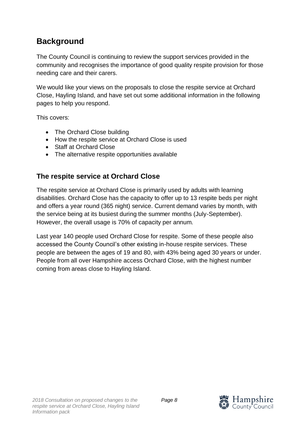## **Background**

The County Council is continuing to review the support services provided in the community and recognises the importance of good quality respite provision for those needing care and their carers.

We would like your views on the proposals to close the respite service at Orchard Close, Hayling Island, and have set out some additional information in the following pages to help you respond.

This covers:

- The Orchard Close building
- How the respite service at Orchard Close is used
- Staff at Orchard Close
- The alternative respite opportunities available

#### **The respite service at Orchard Close**

The respite service at Orchard Close is primarily used by adults with learning disabilities. Orchard Close has the capacity to offer up to 13 respite beds per night and offers a year round (365 night) service. Current demand varies by month, with the service being at its busiest during the summer months (July-September). However, the overall usage is 70% of capacity per annum.

Last year 140 people used Orchard Close for respite. Some of these people also accessed the County Council's other existing in-house respite services. These people are between the ages of 19 and 80, with 43% being aged 30 years or under. People from all over Hampshire access Orchard Close, with the highest number coming from areas close to Hayling Island.

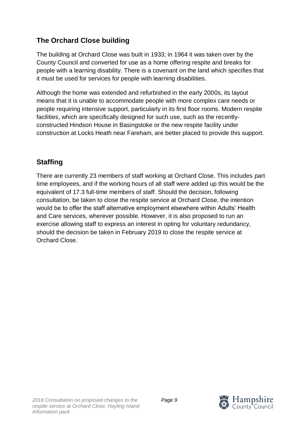#### **The Orchard Close building**

The building at Orchard Close was built in 1933; in 1964 it was taken over by the County Council and converted for use as a home offering respite and breaks for people with a learning disability. There is a covenant on the land which specifies that it must be used for services for people with learning disabilities.

Although the home was extended and refurbished in the early 2000s, its layout means that it is unable to accommodate people with more complex care needs or people requiring intensive support, particularly in its first floor rooms. Modern respite facilities, which are specifically designed for such use, such as the recentlyconstructed Hindson House in Basingstoke or the new respite facility under construction at Locks Heath near Fareham, are better placed to provide this support.

### **Staffing**

There are currently 23 members of staff working at Orchard Close. This includes part time employees, and if the working hours of all staff were added up this would be the equivalent of 17.3 full-time members of staff. Should the decision, following consultation, be taken to close the respite service at Orchard Close, the intention would be to offer the staff alternative employment elsewhere within Adults' Health and Care services, wherever possible. However, it is also proposed to run an exercise allowing staff to express an interest in opting for voluntary redundancy, should the decision be taken in February 2019 to close the respite service at Orchard Close.

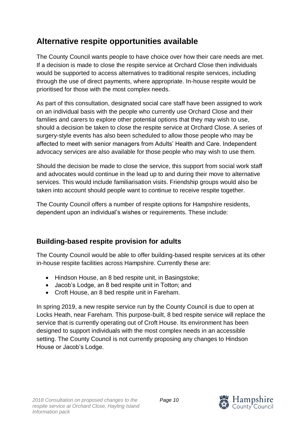## **Alternative respite opportunities available**

The County Council wants people to have choice over how their care needs are met. If a decision is made to close the respite service at Orchard Close then individuals would be supported to access alternatives to traditional respite services, including through the use of direct payments, where appropriate. In-house respite would be prioritised for those with the most complex needs.

As part of this consultation, designated social care staff have been assigned to work on an individual basis with the people who currently use Orchard Close and their families and carers to explore other potential options that they may wish to use, should a decision be taken to close the respite service at Orchard Close. A series of surgery-style events has also been scheduled to allow those people who may be affected to meet with senior managers from Adults' Health and Care. Independent advocacy services are also available for those people who may wish to use them.

Should the decision be made to close the service, this support from social work staff and advocates would continue in the lead up to and during their move to alternative services. This would include familiarisation visits. Friendship groups would also be taken into account should people want to continue to receive respite together.

The County Council offers a number of respite options for Hampshire residents, dependent upon an individual's wishes or requirements. These include:

#### **Building-based respite provision for adults**

The County Council would be able to offer building-based respite services at its other in-house respite facilities across Hampshire. Currently these are:

- Hindson House, an 8 bed respite unit, in Basingstoke;
- Jacob's Lodge, an 8 bed respite unit in Totton; and
- Croft House, an 8 bed respite unit in Fareham.

In spring 2019, a new respite service run by the County Council is due to open at Locks Heath, near Fareham. This purpose-built, 8 bed respite service will replace the service that is currently operating out of Croft House. Its environment has been designed to support individuals with the most complex needs in an accessible setting. The County Council is not currently proposing any changes to Hindson House or Jacob's Lodge.

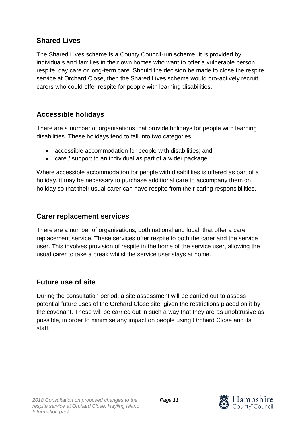#### **Shared Lives**

The Shared Lives scheme is a County Council-run scheme. It is provided by individuals and families in their own homes who want to offer a vulnerable person respite, day care or long-term care. Should the decision be made to close the respite service at Orchard Close, then the Shared Lives scheme would pro-actively recruit carers who could offer respite for people with learning disabilities.

#### **Accessible holidays**

There are a number of organisations that provide holidays for people with learning disabilities. These holidays tend to fall into two categories:

- accessible accommodation for people with disabilities; and
- care / support to an individual as part of a wider package.

Where accessible accommodation for people with disabilities is offered as part of a holiday, it may be necessary to purchase additional care to accompany them on holiday so that their usual carer can have respite from their caring responsibilities.

#### **Carer replacement services**

There are a number of organisations, both national and local, that offer a carer replacement service. These services offer respite to both the carer and the service user. This involves provision of respite in the home of the service user, allowing the usual carer to take a break whilst the service user stays at home.

#### **Future use of site**

During the consultation period, a site assessment will be carried out to assess potential future uses of the Orchard Close site, given the restrictions placed on it by the covenant. These will be carried out in such a way that they are as unobtrusive as possible, in order to minimise any impact on people using Orchard Close and its staff.